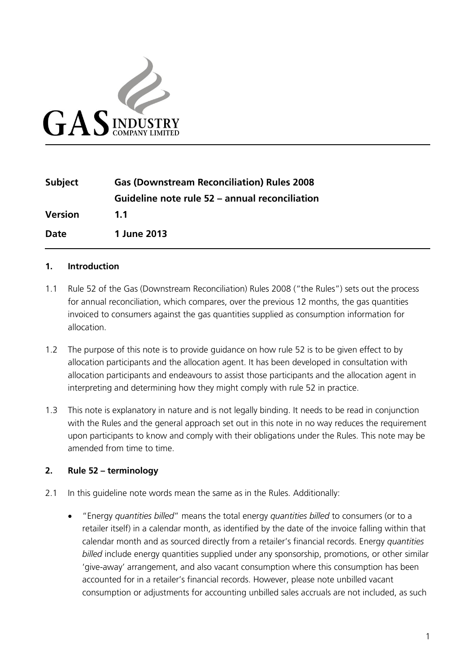

| <b>Subject</b> | <b>Gas (Downstream Reconciliation) Rules 2008</b> |
|----------------|---------------------------------------------------|
|                | Guideline note rule 52 – annual reconciliation    |
| <b>Version</b> | 1.1                                               |
| Date           | 1 June 2013                                       |

#### **1. Introduction**

- 1.1 Rule 52 of the Gas (Downstream Reconciliation) Rules 2008 ("the Rules") sets out the process for annual reconciliation, which compares, over the previous 12 months, the gas quantities invoiced to consumers against the gas quantities supplied as consumption information for allocation.
- 1.2 The purpose of this note is to provide guidance on how rule 52 is to be given effect to by allocation participants and the allocation agent. It has been developed in consultation with allocation participants and endeavours to assist those participants and the allocation agent in interpreting and determining how they might comply with rule 52 in practice.
- 1.3 This note is explanatory in nature and is not legally binding. It needs to be read in conjunction with the Rules and the general approach set out in this note in no way reduces the requirement upon participants to know and comply with their obligations under the Rules. This note may be amended from time to time.

#### **2. Rule 52 – terminology**

- 2.1 In this guideline note words mean the same as in the Rules. Additionally:
	- "Energy *quantities billed*" means the total energy *quantities billed* to consumers (or to a retailer itself) in a calendar month, as identified by the date of the invoice falling within that calendar month and as sourced directly from a retailer's financial records. Energy *quantities billed* include energy quantities supplied under any sponsorship, promotions, or other similar 'give-away' arrangement, and also vacant consumption where this consumption has been accounted for in a retailer's financial records. However, please note unbilled vacant consumption or adjustments for accounting unbilled sales accruals are not included, as such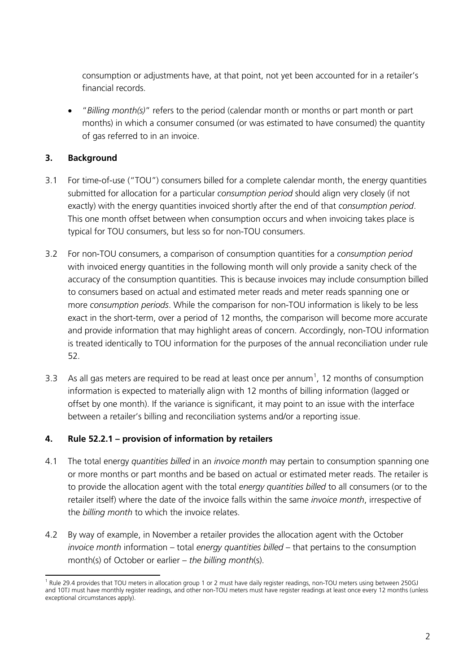consumption or adjustments have, at that point, not yet been accounted for in a retailer's financial records.

• "*Billing month(s)*" refers to the period (calendar month or months or part month or part months) in which a consumer consumed (or was estimated to have consumed) the quantity of gas referred to in an invoice.

# **3. Background**

- 3.1 For time-of-use ("TOU") consumers billed for a complete calendar month, the energy quantities submitted for allocation for a particular *consumption period* should align very closely (if not exactly) with the energy quantities invoiced shortly after the end of that *consumption period*. This one month offset between when consumption occurs and when invoicing takes place is typical for TOU consumers, but less so for non-TOU consumers.
- 3.2 For non-TOU consumers, a comparison of consumption quantities for a *consumption period* with invoiced energy quantities in the following month will only provide a sanity check of the accuracy of the consumption quantities. This is because invoices may include consumption billed to consumers based on actual and estimated meter reads and meter reads spanning one or more *consumption periods*. While the comparison for non-TOU information is likely to be less exact in the short-term, over a period of 12 months, the comparison will become more accurate and provide information that may highlight areas of concern. Accordingly, non-TOU information is treated identically to TOU information for the purposes of the annual reconciliation under rule 52.
- 3.3 As all gas meters are required to be read at least once per annum<sup>[1](#page-1-0)</sup>, 12 months of consumption information is expected to materially align with 12 months of billing information (lagged or offset by one month). If the variance is significant, it may point to an issue with the interface between a retailer's billing and reconciliation systems and/or a reporting issue.

## **4. Rule 52.2.1 – provision of information by retailers**

- 4.1 The total energy *quantities billed* in an *invoice month* may pertain to consumption spanning one or more months or part months and be based on actual or estimated meter reads. The retailer is to provide the allocation agent with the total *energy quantities billed* to all consumers (or to the retailer itself) where the date of the invoice falls within the same *invoice month*, irrespective of the *billing month* to which the invoice relates.
- 4.2 By way of example, in November a retailer provides the allocation agent with the October *invoice month* information – total *energy quantities billed* – that pertains to the consumption month(s) of October or earlier – *the billing month*(s).

<span id="page-1-0"></span><sup>&</sup>lt;sup>1</sup> Rule 29.4 provides that TOU meters in allocation group 1 or 2 must have daily register readings, non-TOU meters using between 250GJ and 10TJ must have monthly register readings, and other non-TOU meters must have register readings at least once every 12 months (unless exceptional circumstances apply).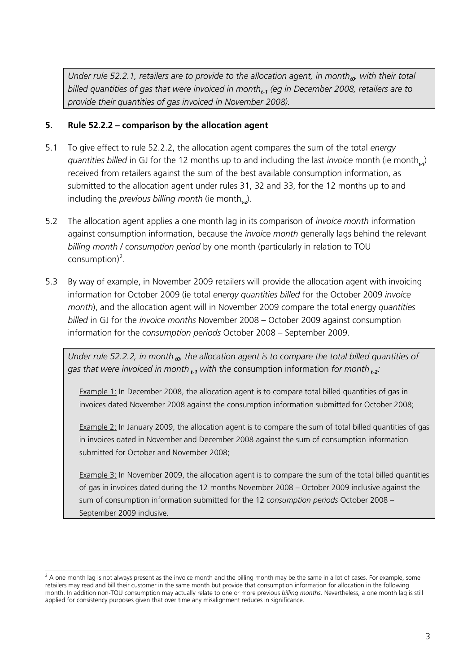*Under rule 52.2.1, retailers are to provide to the allocation agent, in month<sub>t0</sub>, with their total billed quantities of gas that were invoiced in montht-1 (eg in December 2008, retailers are to provide their quantities of gas invoiced in November 2008).*

### **5. Rule 52.2.2 – comparison by the allocation agent**

- 5.1 To give effect to rule 52.2.2, the allocation agent compares the sum of the total *energy guantities billed* in GJ for the 12 months up to and including the last *invoice* month (ie month<sub>ta</sub>) received from retailers against the sum of the best available consumption information, as submitted to the allocation agent under rules 31, 32 and 33, for the 12 months up to and including the *previous billing month* (ie month,).
- 5.2 The allocation agent applies a one month lag in its comparison of *invoice month* information against consumption information, because the *invoice month* generally lags behind the relevant *billing month* / *consumption period* by one month (particularly in relation to TOU  $consumption)^2$  $consumption)^2$ .
- 5.3 By way of example, in November 2009 retailers will provide the allocation agent with invoicing information for October 2009 (ie total *energy quantities billed* for the October 2009 *invoice month*), and the allocation agent will in November 2009 compare the total energy *quantities billed* in GJ for the *invoice months* November 2008 – October 2009 against consumption information for the *consumption periods* October 2008 – September 2009.

*Under rule 52.2.2, in month t0, the allocation agent is to compare the total billed quantities of gas that were invoiced in month t-1 with the* consumption information *for month t-2:*

Example 1: In December 2008, the allocation agent is to compare total billed quantities of gas in invoices dated November 2008 against the consumption information submitted for October 2008;

Example 2: In January 2009, the allocation agent is to compare the sum of total billed quantities of gas in invoices dated in November and December 2008 against the sum of consumption information submitted for October and November 2008;

**Example 3:** In November 2009, the allocation agent is to compare the sum of the total billed quantities of gas in invoices dated during the 12 months November 2008 – October 2009 inclusive against the sum of consumption information submitted for the 12 *consumption periods* October 2008 – September 2009 inclusive.

<span id="page-2-0"></span> $2$  A one month lag is not always present as the invoice month and the billing month may be the same in a lot of cases. For example, some retailers may read and bill their customer in the same month but provide that consumption information for allocation in the following month. In addition non-TOU consumption may actually relate to one or more previous *billing months*. Nevertheless, a one month lag is still applied for consistency purposes given that over time any misalignment reduces in significance.